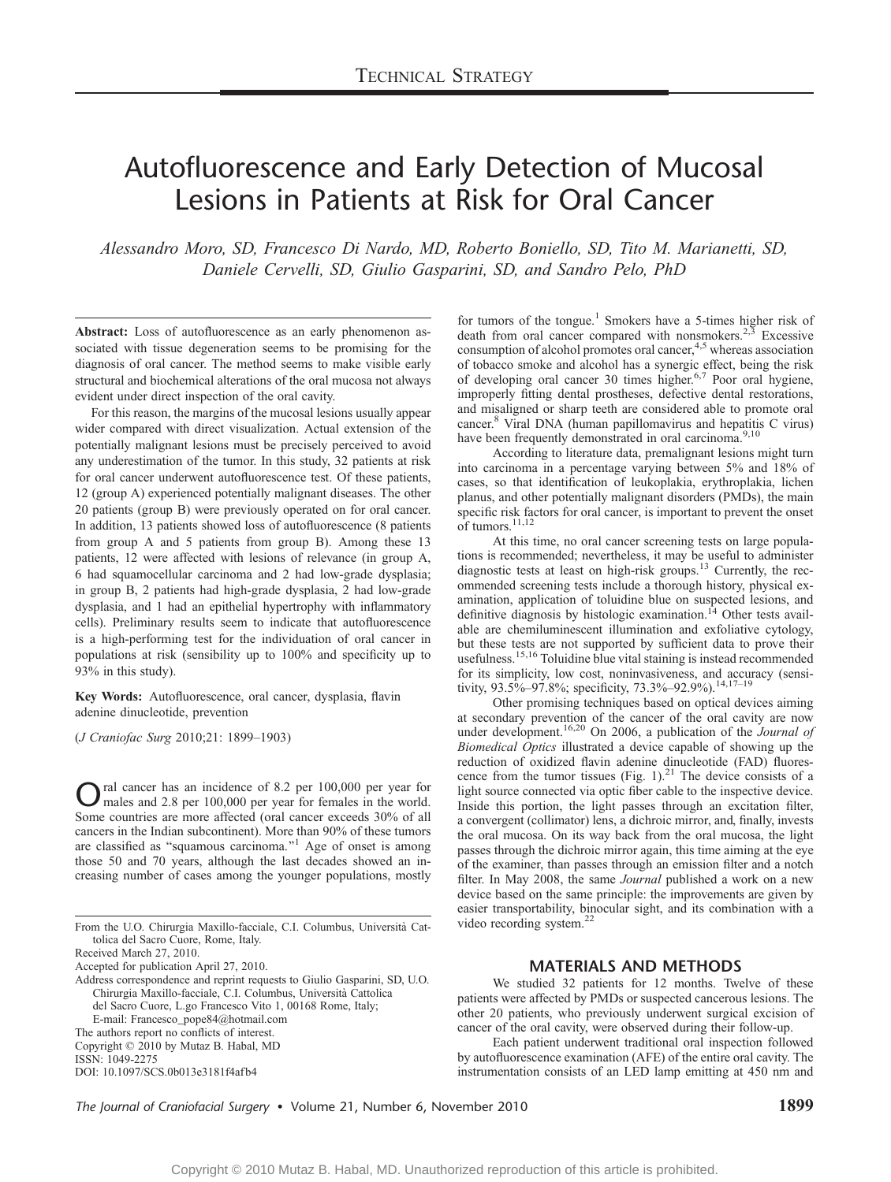# Autofluorescence and Early Detection of Mucosal Lesions in Patients at Risk for Oral Cancer

Alessandro Moro, SD, Francesco Di Nardo, MD, Roberto Boniello, SD, Tito M. Marianetti, SD, Daniele Cervelli, SD, Giulio Gasparini, SD, and Sandro Pelo, PhD

Abstract: Loss of autofluorescence as an early phenomenon associated with tissue degeneration seems to be promising for the diagnosis of oral cancer. The method seems to make visible early structural and biochemical alterations of the oral mucosa not always evident under direct inspection of the oral cavity.

For this reason, the margins of the mucosal lesions usually appear wider compared with direct visualization. Actual extension of the potentially malignant lesions must be precisely perceived to avoid any underestimation of the tumor. In this study, 32 patients at risk for oral cancer underwent autofluorescence test. Of these patients, 12 (group A) experienced potentially malignant diseases. The other 20 patients (group B) were previously operated on for oral cancer. In addition, 13 patients showed loss of autofluorescence (8 patients from group A and 5 patients from group B). Among these 13 patients, 12 were affected with lesions of relevance (in group A, 6 had squamocellular carcinoma and 2 had low-grade dysplasia; in group B, 2 patients had high-grade dysplasia, 2 had low-grade dysplasia, and 1 had an epithelial hypertrophy with inflammatory cells). Preliminary results seem to indicate that autofluorescence is a high-performing test for the individuation of oral cancer in populations at risk (sensibility up to 100% and specificity up to 93% in this study).

Key Words: Autofluorescence, oral cancer, dysplasia, flavin adenine dinucleotide, prevention

(J Craniofac Surg 2010;21: 1899-1903)

Oral cancer has an incidence of 8.2 per 100,000 per year for<br>males and 2.8 per 100,000 per year for females in the world. Some countries are more affected (oral cancer exceeds 30% of all cancers in the Indian subcontinent). More than 90% of these tumors are classified as "squamous carcinoma."<sup>1</sup> Age of onset is among those 50 and 70 years, although the last decades showed an increasing number of cases among the younger populations, mostly

From the U.O. Chirurgia Maxillo-facciale, C.I. Columbus, Universita` Cattolica del Sacro Cuore, Rome, Italy.

Received March 27, 2010.

Accepted for publication April 27, 2010.

Address correspondence and reprint requests to Giulio Gasparini, SD, U.O. Chirurgia Maxillo-facciale, C.I. Columbus, Universita` Cattolica del Sacro Cuore, L.go Francesco Vito 1, 00168 Rome, Italy;

E-mail: Francesco\_pope84@hotmail.com

The authors report no conflicts of interest.

Copyright  $@$  2010 by Mutaz B. Habal, MD

ISSN: 1049-2275

DOI: 10.1097/SCS.0b013e3181f4afb4

for tumors of the tongue.<sup>1</sup> Smokers have a 5-times higher risk of death from oral cancer compared with nonsmokers.<sup>2,3</sup> Excessive consumption of alcohol promotes oral cancer,  $4.5$  whereas association of tobacco smoke and alcohol has a synergic effect, being the risk of developing oral cancer 30 times higher.<sup>6,7</sup> Poor oral hygiene, improperly fitting dental prostheses, defective dental restorations, and misaligned or sharp teeth are considered able to promote oral cancer.8 Viral DNA (human papillomavirus and hepatitis C virus) have been frequently demonstrated in oral carcinoma.<sup>9,10</sup>

According to literature data, premalignant lesions might turn into carcinoma in a percentage varying between 5% and 18% of cases, so that identification of leukoplakia, erythroplakia, lichen planus, and other potentially malignant disorders (PMDs), the main specific risk factors for oral cancer, is important to prevent the onset of tumors.<sup>11,12</sup>

At this time, no oral cancer screening tests on large populations is recommended; nevertheless, it may be useful to administer diagnostic tests at least on high-risk groups.<sup>13</sup> Currently, the recommended screening tests include a thorough history, physical examination, application of toluidine blue on suspected lesions, and definitive diagnosis by histologic examination.<sup>14</sup> Other tests available are chemiluminescent illumination and exfoliative cytology, but these tests are not supported by sufficient data to prove their usefulness.<sup>15,16</sup> Toluidine blue vital staining is instead recommended for its simplicity, low cost, noninvasiveness, and accuracy (sensitivity,  $93.5\%$ – $97.8\%$ ; specificity,  $73.3\%$ – $92.9\%$ ).<sup>14,17–19</sup>

Other promising techniques based on optical devices aiming at secondary prevention of the cancer of the oral cavity are now<br>under development.<sup>16,20</sup> On 2006, a publication of the *Journal of* Biomedical Optics illustrated a device capable of showing up the reduction of oxidized flavin adenine dinucleotide (FAD) fluorescence from the tumor tissues (Fig. 1). $^{21}$  The device consists of a light source connected via optic fiber cable to the inspective device. Inside this portion, the light passes through an excitation filter, a convergent (collimator) lens, a dichroic mirror, and, finally, invests the oral mucosa. On its way back from the oral mucosa, the light passes through the dichroic mirror again, this time aiming at the eye of the examiner, than passes through an emission filter and a notch filter. In May 2008, the same *Journal* published a work on a new device based on the same principle: the improvements are given by easier transportability, binocular sight, and its combination with a video recording system.<sup>22</sup>

## MATERIALS AND METHODS

We studied 32 patients for 12 months. Twelve of these patients were affected by PMDs or suspected cancerous lesions. The other 20 patients, who previously underwent surgical excision of cancer of the oral cavity, were observed during their follow-up.

Each patient underwent traditional oral inspection followed by autofluorescence examination (AFE) of the entire oral cavity. The instrumentation consists of an LED lamp emitting at 450 nm and

The Journal of Craniofacial Surgery • Volume 21, Number 6, November 2010 1899 1899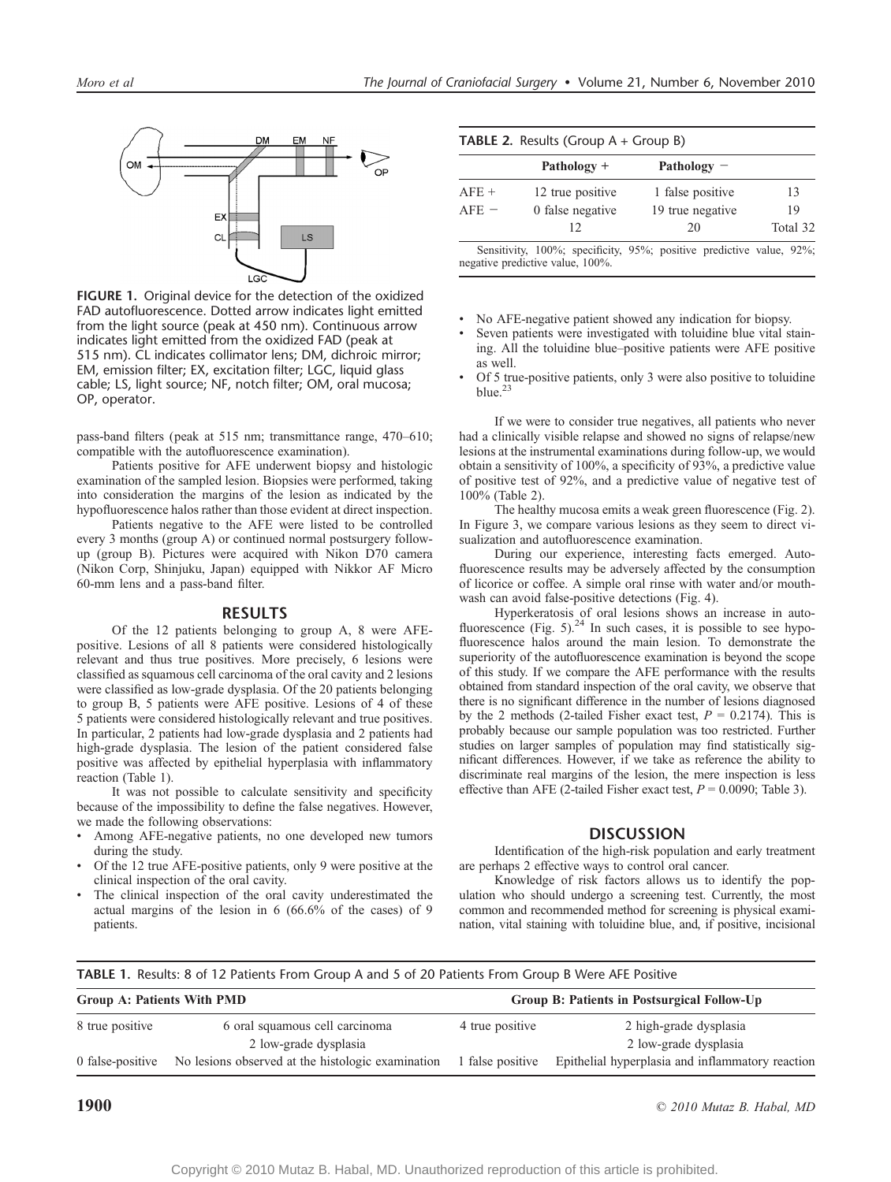

FIGURE 1. Original device for the detection of the oxidized FAD autofluorescence. Dotted arrow indicates light emitted from the light source (peak at 450 nm). Continuous arrow indicates light emitted from the oxidized FAD (peak at 515 nm). CL indicates collimator lens; DM, dichroic mirror; EM, emission filter; EX, excitation filter; LGC, liquid glass cable; LS, light source; NF, notch filter; OM, oral mucosa; OP, operator.

pass-band filters (peak at 515 nm; transmittance range, 470-610; compatible with the autofluorescence examination).

Patients positive for AFE underwent biopsy and histologic examination of the sampled lesion. Biopsies were performed, taking into consideration the margins of the lesion as indicated by the hypofluorescence halos rather than those evident at direct inspection.

Patients negative to the AFE were listed to be controlled every 3 months (group A) or continued normal postsurgery followup (group B). Pictures were acquired with Nikon D70 camera (Nikon Corp, Shinjuku, Japan) equipped with Nikkor AF Micro 60-mm lens and a pass-band filter.

#### RESULTS

Of the 12 patients belonging to group A, 8 were AFEpositive. Lesions of all 8 patients were considered histologically relevant and thus true positives. More precisely, 6 lesions were classified as squamous cell carcinoma of the oral cavity and 2 lesions were classified as low-grade dysplasia. Of the 20 patients belonging to group B, 5 patients were AFE positive. Lesions of 4 of these 5 patients were considered histologically relevant and true positives. In particular, 2 patients had low-grade dysplasia and 2 patients had high-grade dysplasia. The lesion of the patient considered false positive was affected by epithelial hyperplasia with inflammatory reaction (Table 1).

It was not possible to calculate sensitivity and specificity because of the impossibility to define the false negatives. However, we made the following observations:

- & Among AFE-negative patients, no one developed new tumors during the study.
- & Of the 12 true AFE-positive patients, only 9 were positive at the clinical inspection of the oral cavity.
- The clinical inspection of the oral cavity underestimated the actual margins of the lesion in 6 (66.6% of the cases) of 9 patients.

|  |  | <b>TABLE 2.</b> Results (Group A + Group B) |  |  |
|--|--|---------------------------------------------|--|--|
|--|--|---------------------------------------------|--|--|

|                             | Pathology $+$    | Pathology $-$                                                        |          |  |
|-----------------------------|------------------|----------------------------------------------------------------------|----------|--|
| 12 true positive<br>$AFE +$ |                  | 1 false positive                                                     | 13       |  |
| $AFE =$                     | 0 false negative | 19 true negative                                                     | 19       |  |
|                             | 12               | 20                                                                   | Total 32 |  |
|                             |                  | Sensitivity, 100%; specificity, 95%; positive predictive value, 92%; |          |  |

negative predictive value, 100%.

- & No AFE-negative patient showed any indication for biopsy.
- Seven patients were investigated with toluidine blue vital staining. All the toluidine blue-positive patients were AFE positive as well.
- Of 5 true-positive patients, only 3 were also positive to toluidine  $blue.$ <sup>23</sup>

If we were to consider true negatives, all patients who never had a clinically visible relapse and showed no signs of relapse/new lesions at the instrumental examinations during follow-up, we would obtain a sensitivity of 100%, a specificity of 93%, a predictive value of positive test of 92%, and a predictive value of negative test of 100% (Table 2).

The healthy mucosa emits a weak green fluorescence (Fig. 2). In Figure 3, we compare various lesions as they seem to direct visualization and autofluorescence examination.

During our experience, interesting facts emerged. Autofluorescence results may be adversely affected by the consumption of licorice or coffee. A simple oral rinse with water and/or mouthwash can avoid false-positive detections (Fig. 4).

Hyperkeratosis of oral lesions shows an increase in autofluorescence (Fig. 5). $^{24}$  In such cases, it is possible to see hypofluorescence halos around the main lesion. To demonstrate the superiority of the autofluorescence examination is beyond the scope of this study. If we compare the AFE performance with the results obtained from standard inspection of the oral cavity, we observe that there is no significant difference in the number of lesions diagnosed by the 2 methods (2-tailed Fisher exact test,  $P = 0.2174$ ). This is probably because our sample population was too restricted. Further studies on larger samples of population may find statistically significant differences. However, if we take as reference the ability to discriminate real margins of the lesion, the mere inspection is less effective than AFE (2-tailed Fisher exact test,  $P = 0.0090$ ; Table 3).

## **DISCUSSION**

Identification of the high-risk population and early treatment are perhaps 2 effective ways to control oral cancer.

Knowledge of risk factors allows us to identify the population who should undergo a screening test. Currently, the most common and recommended method for screening is physical examination, vital staining with toluidine blue, and, if positive, incisional

TABLE 1. Results: 8 of 12 Patients From Group A and 5 of 20 Patients From Group B Were AFE Positive

| <b>Group A: Patients With PMD</b> |                                                         | Group B: Patients in Postsurgical Follow-Up |                                                  |  |
|-----------------------------------|---------------------------------------------------------|---------------------------------------------|--------------------------------------------------|--|
| 8 true positive                   | 6 oral squamous cell carcinoma<br>2 low-grade dysplasia | 4 true positive                             | 2 high-grade dysplasia<br>2 low-grade dysplasia  |  |
| 0 false-positive                  | No lesions observed at the histologic examination       | 1 false positive                            | Epithelial hyperplasia and inflammatory reaction |  |

**1900**  $\degree$  2010 Mutaz B. Habal, MD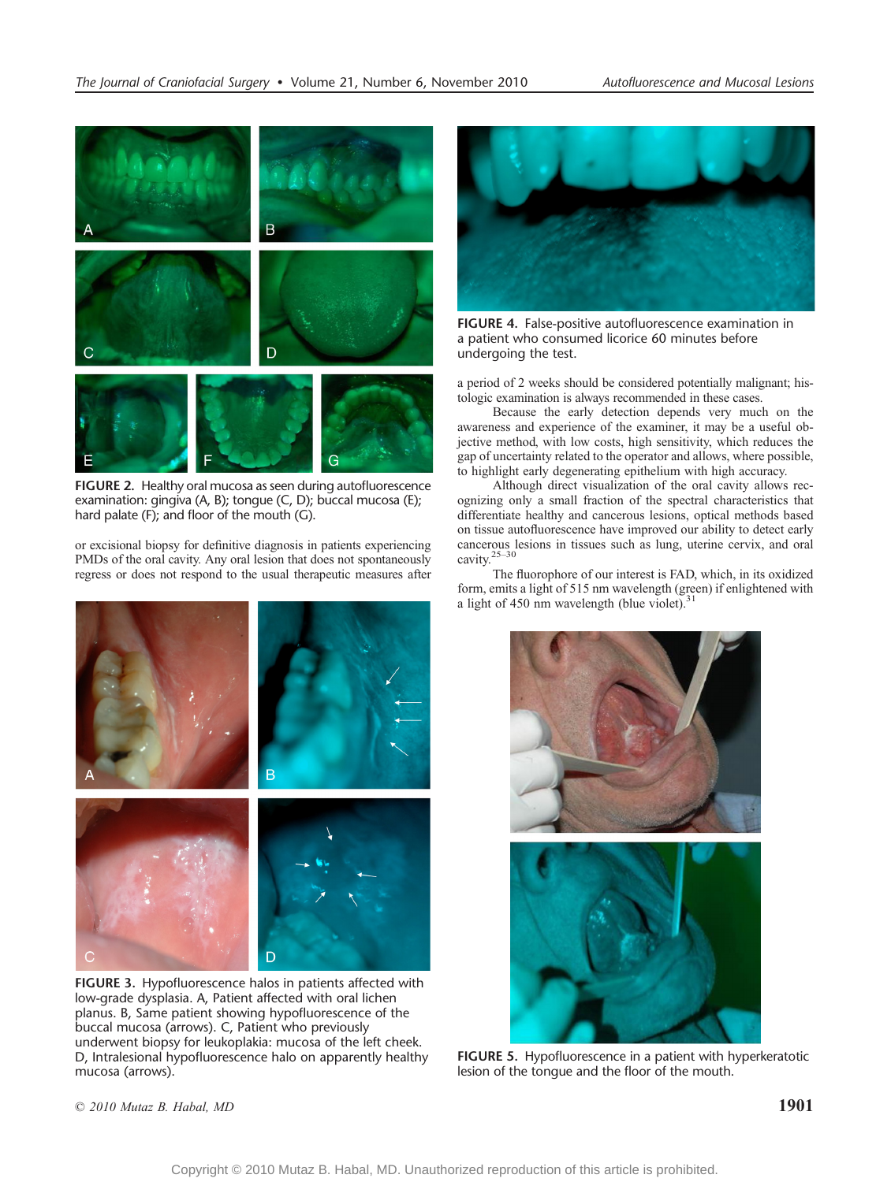

FIGURE 2. Healthy oral mucosa as seen during autofluorescence examination: gingiva (A, B); tongue (C, D); buccal mucosa (E); hard palate (F); and floor of the mouth (G).

or excisional biopsy for definitive diagnosis in patients experiencing PMDs of the oral cavity. Any oral lesion that does not spontaneously regress or does not respond to the usual therapeutic measures after



FIGURE 3. Hypofluorescence halos in patients affected with low-grade dysplasia. A, Patient affected with oral lichen planus. B, Same patient showing hypofluorescence of the buccal mucosa (arrows). C, Patient who previously underwent biopsy for leukoplakia: mucosa of the left cheek. D, Intralesional hypofluorescence halo on apparently healthy mucosa (arrows).



FIGURE 4. False-positive autofluorescence examination in a patient who consumed licorice 60 minutes before undergoing the test.

a period of 2 weeks should be considered potentially malignant; histologic examination is always recommended in these cases.

Because the early detection depends very much on the awareness and experience of the examiner, it may be a useful objective method, with low costs, high sensitivity, which reduces the gap of uncertainty related to the operator and allows, where possible, to highlight early degenerating epithelium with high accuracy.

Although direct visualization of the oral cavity allows recognizing only a small fraction of the spectral characteristics that differentiate healthy and cancerous lesions, optical methods based on tissue autofluorescence have improved our ability to detect early cancerous lesions in tissues such as lung, uterine cervix, and oral cavity. $25-30$ 

The fluorophore of our interest is FAD, which, in its oxidized form, emits a light of 515 nm wavelength (green) if enlightened with a light of 450 nm wavelength (blue violet). $31$ 



FIGURE 5. Hypofluorescence in a patient with hyperkeratotic lesion of the tongue and the floor of the mouth.

 $\degree$  2010 Mutaz B. Habal, MD 1901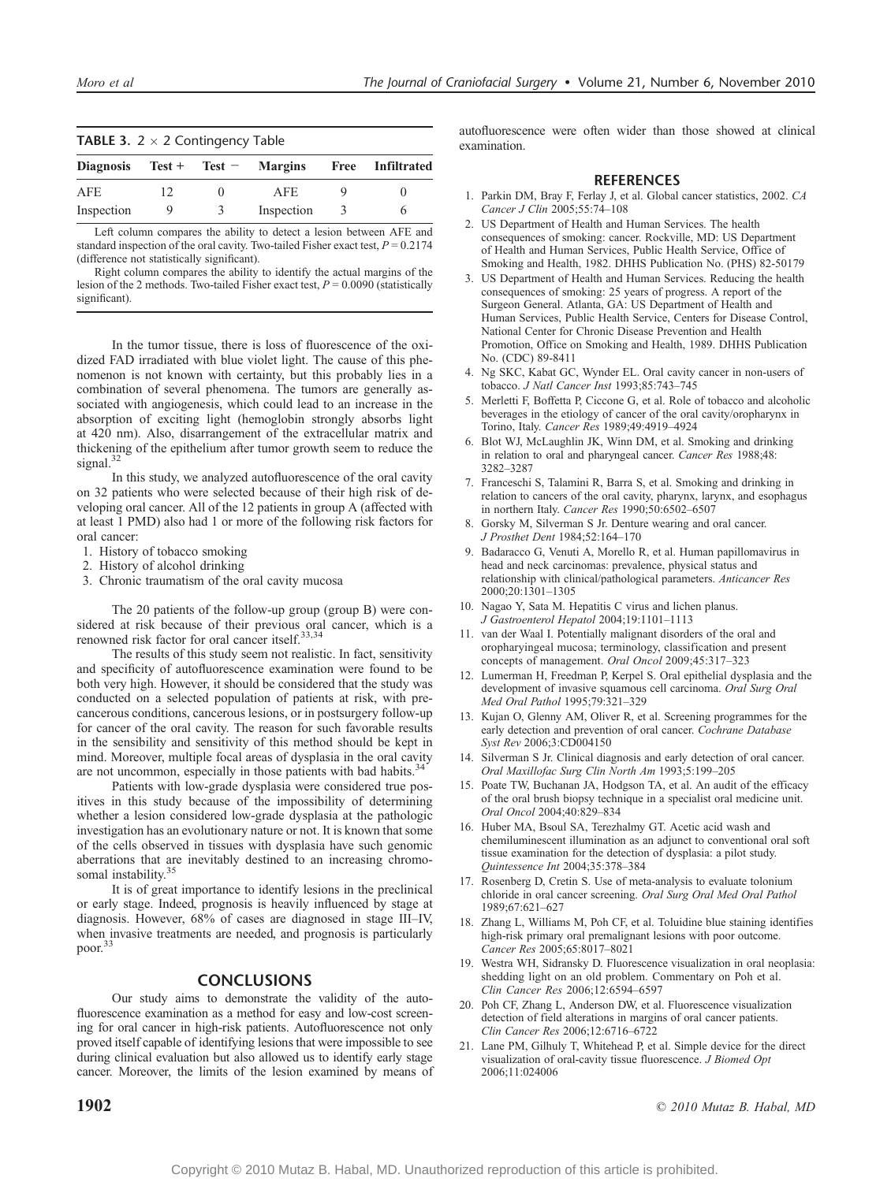| <b>TABLE 3.</b> $2 \times 2$ Contingency Table |    |   |            |   |                  |  |
|------------------------------------------------|----|---|------------|---|------------------|--|
| Diagnosis $Test + Test - Margins$              |    |   |            |   | Free Infiltrated |  |
| AFE                                            | 12 |   | AFE.       |   |                  |  |
| Inspection                                     | 9  | 3 | Inspection | 3 |                  |  |

Left column compares the ability to detect a lesion between AFE and standard inspection of the oral cavity. Two-tailed Fisher exact test,  $P = 0.2174$ (difference not statistically significant).

Right column compares the ability to identify the actual margins of the lesion of the 2 methods. Two-tailed Fisher exact test,  $P = 0.0090$  (statistically significant).

In the tumor tissue, there is loss of fluorescence of the oxidized FAD irradiated with blue violet light. The cause of this phenomenon is not known with certainty, but this probably lies in a combination of several phenomena. The tumors are generally associated with angiogenesis, which could lead to an increase in the absorption of exciting light (hemoglobin strongly absorbs light at 420 nm). Also, disarrangement of the extracellular matrix and thickening of the epithelium after tumor growth seem to reduce the signal.<sup>32</sup>

In this study, we analyzed autofluorescence of the oral cavity on 32 patients who were selected because of their high risk of developing oral cancer. All of the 12 patients in group A (affected with at least 1 PMD) also had 1 or more of the following risk factors for oral cancer:

- 1. History of tobacco smoking
- 2. History of alcohol drinking
- 3. Chronic traumatism of the oral cavity mucosa

The 20 patients of the follow-up group (group B) were considered at risk because of their previous oral cancer, which is a renowned risk factor for oral cancer itself.<sup>33,34</sup>

The results of this study seem not realistic. In fact, sensitivity and specificity of autofluorescence examination were found to be both very high. However, it should be considered that the study was conducted on a selected population of patients at risk, with precancerous conditions, cancerous lesions, or in postsurgery follow-up for cancer of the oral cavity. The reason for such favorable results in the sensibility and sensitivity of this method should be kept in mind. Moreover, multiple focal areas of dysplasia in the oral cavity are not uncommon, especially in those patients with bad habits.<sup>3</sup>

Patients with low-grade dysplasia were considered true positives in this study because of the impossibility of determining whether a lesion considered low-grade dysplasia at the pathologic investigation has an evolutionary nature or not. It is known that some of the cells observed in tissues with dysplasia have such genomic aberrations that are inevitably destined to an increasing chromosomal instability.<sup>35</sup>

It is of great importance to identify lesions in the preclinical or early stage. Indeed, prognosis is heavily influenced by stage at diagnosis. However, 68% of cases are diagnosed in stage III-IV, when invasive treatments are needed, and prognosis is particularly poor.<sup>33</sup>

### **CONCLUSIONS**

Our study aims to demonstrate the validity of the autofluorescence examination as a method for easy and low-cost screening for oral cancer in high-risk patients. Autofluorescence not only proved itself capable of identifying lesions that were impossible to see during clinical evaluation but also allowed us to identify early stage cancer. Moreover, the limits of the lesion examined by means of autofluorescence were often wider than those showed at clinical examination.

#### **REFERENCES**

- 1. Parkin DM, Bray F, Ferlay J, et al. Global cancer statistics, 2002. CA Cancer J Clin 2005;55:74-108
- 2. US Department of Health and Human Services. The health consequences of smoking: cancer. Rockville, MD: US Department of Health and Human Services, Public Health Service, Office of Smoking and Health, 1982. DHHS Publication No. (PHS) 82-50179
- 3. US Department of Health and Human Services. Reducing the health consequences of smoking: 25 years of progress. A report of the Surgeon General. Atlanta, GA: US Department of Health and Human Services, Public Health Service, Centers for Disease Control, National Center for Chronic Disease Prevention and Health Promotion, Office on Smoking and Health, 1989. DHHS Publication No. (CDC) 89-8411
- 4. Ng SKC, Kabat GC, Wynder EL. Oral cavity cancer in non-users of tobacco. J Natl Cancer Inst 1993;85:743-745
- 5. Merletti F, Boffetta P, Ciccone G, et al. Role of tobacco and alcoholic beverages in the etiology of cancer of the oral cavity/oropharynx in Torino, Italy. Cancer Res 1989;49:4919-4924
- 6. Blot WJ, McLaughlin JK, Winn DM, et al. Smoking and drinking in relation to oral and pharyngeal cancer. Cancer Res 1988;48: 3282-3287
- 7. Franceschi S, Talamini R, Barra S, et al. Smoking and drinking in relation to cancers of the oral cavity, pharynx, larynx, and esophagus in northern Italy. Cancer Res 1990;50:6502-6507
- 8. Gorsky M, Silverman S Jr. Denture wearing and oral cancer. J Prosthet Dent 1984;52:164-170
- 9. Badaracco G, Venuti A, Morello R, et al. Human papillomavirus in head and neck carcinomas: prevalence, physical status and relationship with clinical/pathological parameters. Anticancer Res 2000:20:1301-1305
- 10. Nagao Y, Sata M. Hepatitis C virus and lichen planus. J Gastroenterol Hepatol 2004;19:1101-1113
- 11. van der Waal I. Potentially malignant disorders of the oral and oropharyingeal mucosa; terminology, classification and present concepts of management. Oral Oncol 2009;45:317-323
- 12. Lumerman H, Freedman P, Kerpel S. Oral epithelial dysplasia and the development of invasive squamous cell carcinoma. Oral Surg Oral Med Oral Pathol 1995;79:321-329
- 13. Kujan O, Glenny AM, Oliver R, et al. Screening programmes for the early detection and prevention of oral cancer. Cochrane Database Syst Rev 2006;3:CD004150
- 14. Silverman S Jr. Clinical diagnosis and early detection of oral cancer. Oral Maxillofac Surg Clin North Am 1993;5:199-205
- 15. Poate TW, Buchanan JA, Hodgson TA, et al. An audit of the efficacy of the oral brush biopsy technique in a specialist oral medicine unit. Oral Oncol 2004;40:829-834
- 16. Huber MA, Bsoul SA, Terezhalmy GT. Acetic acid wash and chemiluminescent illumination as an adjunct to conventional oral soft tissue examination for the detection of dysplasia: a pilot study. Quintessence Int 2004;35:378-384
- 17. Rosenberg D, Cretin S. Use of meta-analysis to evaluate tolonium chloride in oral cancer screening. Oral Surg Oral Med Oral Pathol 1989;67:621-627
- 18. Zhang L, Williams M, Poh CF, et al. Toluidine blue staining identifies high-risk primary oral premalignant lesions with poor outcome. Cancer Res 2005;65:8017-8021
- 19. Westra WH, Sidransky D. Fluorescence visualization in oral neoplasia: shedding light on an old problem. Commentary on Poh et al. Clin Cancer Res 2006:12:6594-6597
- 20. Poh CF, Zhang L, Anderson DW, et al. Fluorescence visualization detection of field alterations in margins of oral cancer patients. Clin Cancer Res 2006;12:6716-6722
- 21. Lane PM, Gilhuly T, Whitehead P, et al. Simple device for the direct visualization of oral-cavity tissue fluorescence. J Biomed Opt 2006;11:024006

**1902**  $\degree$  2010 Mutaz B. Habal, MD